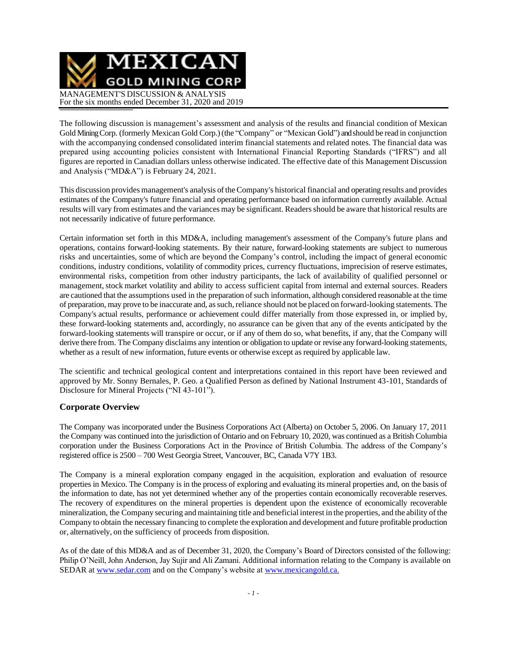MEXICAN **GOLD MINING CORP** MANAGEMENT'S DISCUSSION & ANALYSIS For the six months ended December 31, 2020 and 2019

The following discussion is management's assessment and analysis of the results and financial condition of Mexican Gold Mining Corp. (formerly Mexican Gold Corp.) (the "Company" or "Mexican Gold") and should be read in conjunction with the accompanying condensed consolidated interim financial statements and related notes. The financial data was prepared using accounting policies consistent with International Financial Reporting Standards ("IFRS") and all figures are reported in Canadian dollars unless otherwise indicated. The effective date of this Management Discussion and Analysis ("MD&A") is February 24, 2021.

This discussion provides management's analysis oftheCompany's historical financial and operating results and provides estimates of the Company's future financial and operating performance based on information currently available. Actual results will vary from estimates and the variances may be significant. Readers should be aware that historical results are not necessarily indicative of future performance.

Certain information set forth in this MD&A, including management's assessment of the Company's future plans and operations, contains forward-looking statements. By their nature, forward-looking statements are subject to numerous risks and uncertainties, some of which are beyond the Company's control, including the impact of general economic conditions, industry conditions, volatility of commodity prices, currency fluctuations, imprecision of reserve estimates, environmental risks, competition from other industry participants, the lack of availability of qualified personnel or management, stock market volatility and ability to access sufficient capital from internal and external sources. Readers are cautioned that the assumptions used in the preparation of such information, although considered reasonable at the time of preparation, may prove to be inaccurate and, assuch,reliance should not be placed on forward-looking statements. The Company's actual results, performance or achievement could differ materially from those expressed in, or implied by, these forward-looking statements and, accordingly, no assurance can be given that any of the events anticipated by the forward-looking statements will transpire or occur, or if any of them do so, what benefits, if any, that the Company will derive there from. The Company disclaims any intention or obligation to update or revise any forward-looking statements, whether as a result of new information, future events or otherwise except as required by applicable law.

The scientific and technical geological content and interpretations contained in this report have been reviewed and approved by Mr. Sonny Bernales, P. Geo. a Qualified Person as defined by National Instrument 43-101, Standards of Disclosure for Mineral Projects ("NI 43-101").

### **Corporate Overview**

The Company was incorporated under the Business Corporations Act (Alberta) on October 5, 2006. On January 17, 2011 the Company was continued into the jurisdiction of Ontario and on February 10, 2020, was continued as a British Columbia corporation under the Business Corporations Act in the Province of British Columbia. The address of the Company's registered office is 2500 – 700 West Georgia Street, Vancouver, BC, Canada V7Y 1B3.

The Company is a mineral exploration company engaged in the acquisition, exploration and evaluation of resource properties in Mexico. The Company is in the process of exploring and evaluating its mineral properties and, on the basis of the information to date, has not yet determined whether any of the properties contain economically recoverable reserves. The recovery of expenditures on the mineral properties is dependent upon the existence of economically recoverable mineralization, the Company securing and maintaining title and beneficial interest in the properties, and the ability ofthe Company to obtain the necessary financing to complete the exploration and development and future profitable production or, alternatively, on the sufficiency of proceeds from disposition.

As of the date of this MD&A and as of December 31, 2020, the Company's Board of Directors consisted of the following: Philip O'Neill, John Anderson, Jay Sujir and Ali Zamani. Additional information relating to the Company is available on SEDAR at [www.sedar.com](http://www.sedar.com/) and on the Company's website at [www.mexicangold.ca.](http://www.mexicangold.ca./)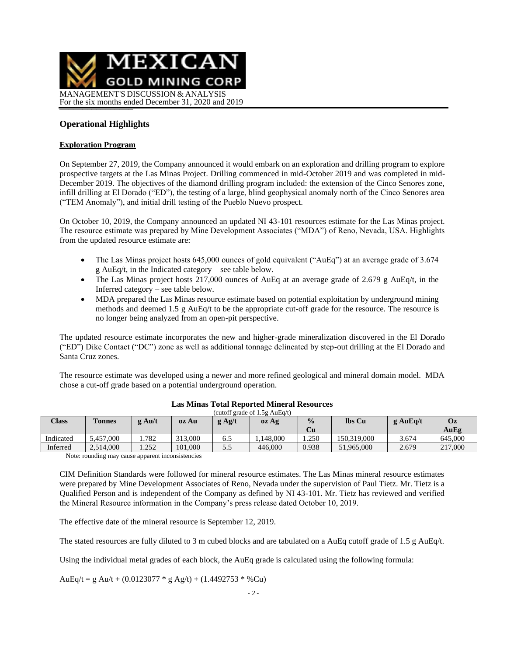

### **Operational Highlights**

#### **Exploration Program**

On September 27, 2019, the Company announced it would embark on an exploration and drilling program to explore prospective targets at the Las Minas Project. Drilling commenced in mid-October 2019 and was completed in mid-December 2019. The objectives of the diamond drilling program included: the extension of the Cinco Senores zone, infill drilling at El Dorado ("ED"), the testing of a large, blind geophysical anomaly north of the Cinco Senores area ("TEM Anomaly"), and initial drill testing of the Pueblo Nuevo prospect.

On October 10, 2019, the Company announced an updated NI 43-101 resources estimate for the Las Minas project. The resource estimate was prepared by Mine Development Associates ("MDA") of Reno, Nevada, USA. Highlights from the updated resource estimate are:

- The Las Minas project hosts 645,000 ounces of gold equivalent ("AuEq") at an average grade of 3.674 g AuEq/t, in the Indicated category – see table below.
- The Las Minas project hosts 217,000 ounces of AuEq at an average grade of 2.679 g AuEq/t, in the Inferred category – see table below.
- MDA prepared the Las Minas resource estimate based on potential exploitation by underground mining methods and deemed 1.5 g AuEq/t to be the appropriate cut-off grade for the resource. The resource is no longer being analyzed from an open-pit perspective.

The updated resource estimate incorporates the new and higher-grade mineralization discovered in the El Dorado ("ED") Dike Contact ("DC") zone as well as additional tonnage delineated by step-out drilling at the El Dorado and Santa Cruz zones.

The resource estimate was developed using a newer and more refined geological and mineral domain model. MDA chose a cut-off grade based on a potential underground operation.

| Class     | <b>Tonnes</b> | $g \text{Au/t}$ | oz Au   | $g$ Ag/t | oz Ag    | $\frac{0}{0}$<br>Cu | lbs Cu      | $g$ AuEq/t | Oz      |
|-----------|---------------|-----------------|---------|----------|----------|---------------------|-------------|------------|---------|
|           |               |                 |         |          |          |                     |             |            | AuEg    |
| Indicated | 5.457,000     | 1.782           | 313,000 | 6.5      | .148.000 | . 250               | 150.319.000 | 3.674      | 645,000 |
| Inferred  | 2,514,000     | 1.252           | 101.000 | 5.5      | 446.000  | 0.938               | 51,965,000  | 2.679      | 217,000 |

#### **Las Minas Total Reported Mineral Resources** (cutoff grade of 1.5g AuE $q(t)$ )

Note: rounding may cause apparent inconsistencies

CIM Definition Standards were followed for mineral resource estimates. The Las Minas mineral resource estimates were prepared by Mine Development Associates of Reno, Nevada under the supervision of Paul Tietz. Mr. Tietz is a Qualified Person and is independent of the Company as defined by NI 43-101. Mr. Tietz has reviewed and verified the Mineral Resource information in the Company's press release dated October 10, 2019.

The effective date of the mineral resource is September 12, 2019.

The stated resources are fully diluted to 3 m cubed blocks and are tabulated on a AuEq cutoff grade of 1.5 g AuEq/t.

Using the individual metal grades of each block, the AuEq grade is calculated using the following formula:

AuEq/t = g Au/t + (0.0123077  $*$  g Ag/t) + (1.4492753  $*$  %Cu)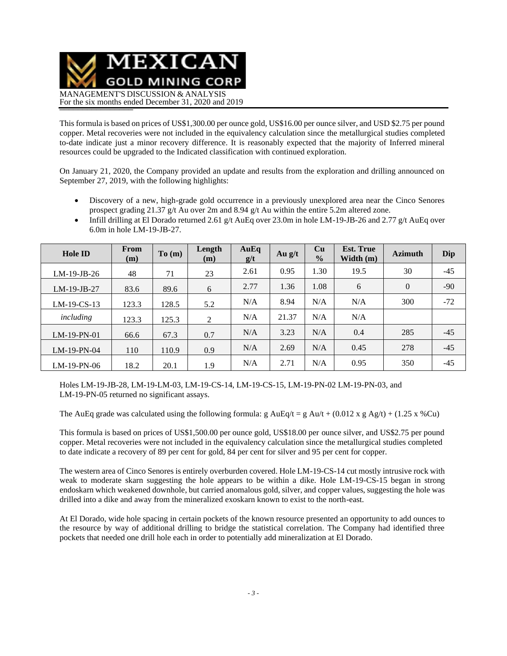

This formula is based on prices of US\$1,300.00 per ounce gold, US\$16.00 per ounce silver, and USD \$2.75 per pound copper. Metal recoveries were not included in the equivalency calculation since the metallurgical studies completed to-date indicate just a minor recovery difference. It is reasonably expected that the majority of Inferred mineral resources could be upgraded to the Indicated classification with continued exploration.

On January 21, 2020, the Company provided an update and results from the exploration and drilling announced on September 27, 2019, with the following highlights:

- Discovery of a new, high-grade gold occurrence in a previously unexplored area near the Cinco Senores prospect grading 21.37 g/t Au over 2m and 8.94 g/t Au within the entire 5.2m altered zone.
- Infill drilling at El Dorado returned 2.61 g/t AuEq over 23.0m in hole LM-19-JB-26 and 2.77 g/t AuEq over 6.0m in hole LM-19-JB-27.

| <b>Hole ID</b> | From<br>(m) | To(m) | Length<br>(m) | AuEq<br>g/t | Au $g/t$ | Cu<br>$\frac{0}{0}$ | <b>Est. True</b><br>Width $(m)$ | <b>Azimuth</b> | Dip   |
|----------------|-------------|-------|---------------|-------------|----------|---------------------|---------------------------------|----------------|-------|
| $LM-19-JB-26$  | 48          | 71    | 23            | 2.61        | 0.95     | 1.30                | 19.5                            | 30             | $-45$ |
| $LM-19-JB-27$  | 83.6        | 89.6  | 6             | 2.77        | 1.36     | 1.08                | 6                               | $\overline{0}$ | $-90$ |
| $LM-19-CS-13$  | 123.3       | 128.5 | 5.2           | N/A         | 8.94     | N/A                 | N/A                             | 300            | $-72$ |
| including      | 123.3       | 125.3 | 2             | N/A         | 21.37    | N/A                 | N/A                             |                |       |
| $LM-19-PN-01$  | 66.6        | 67.3  | 0.7           | N/A         | 3.23     | N/A                 | 0.4                             | 285            | $-45$ |
| $LM-19-PN-04$  | 110         | 110.9 | 0.9           | N/A         | 2.69     | N/A                 | 0.45                            | 278            | $-45$ |
| $LM-19-PN-06$  | 18.2        | 20.1  | 1.9           | N/A         | 2.71     | N/A                 | 0.95                            | 350            | $-45$ |

Holes LM-19-JB-28, LM-19-LM-03, LM-19-CS-14, LM-19-CS-15, LM-19-PN-02 LM-19-PN-03, and LM-19-PN-05 returned no significant assays.

The AuEq grade was calculated using the following formula: g AuEq/t = g Au/t + (0.012 x g Ag/t) + (1.25 x %Cu)

This formula is based on prices of US\$1,500.00 per ounce gold, US\$18.00 per ounce silver, and US\$2.75 per pound copper. Metal recoveries were not included in the equivalency calculation since the metallurgical studies completed to date indicate a recovery of 89 per cent for gold, 84 per cent for silver and 95 per cent for copper.

The western area of Cinco Senores is entirely overburden covered. Hole LM-19-CS-14 cut mostly intrusive rock with weak to moderate skarn suggesting the hole appears to be within a dike. Hole LM-19-CS-15 began in strong endoskarn which weakened downhole, but carried anomalous gold, silver, and copper values, suggesting the hole was drilled into a dike and away from the mineralized exoskarn known to exist to the north-east.

At El Dorado, wide hole spacing in certain pockets of the known resource presented an opportunity to add ounces to the resource by way of additional drilling to bridge the statistical correlation. The Company had identified three pockets that needed one drill hole each in order to potentially add mineralization at El Dorado.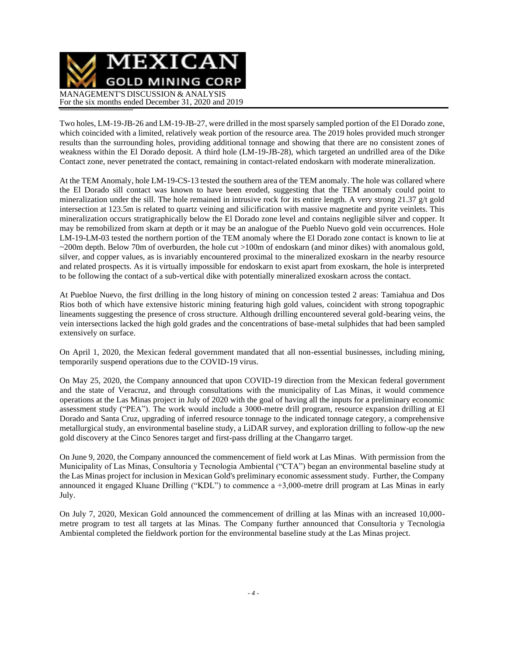

Two holes, LM-19-JB-26 and LM-19-JB-27, were drilled in the most sparsely sampled portion of the El Dorado zone, which coincided with a limited, relatively weak portion of the resource area. The 2019 holes provided much stronger results than the surrounding holes, providing additional tonnage and showing that there are no consistent zones of weakness within the El Dorado deposit. A third hole (LM-19-JB-28), which targeted an undrilled area of the Dike Contact zone, never penetrated the contact, remaining in contact-related endoskarn with moderate mineralization.

At the TEM Anomaly, hole LM-19-CS-13 tested the southern area of the TEM anomaly. The hole was collared where the El Dorado sill contact was known to have been eroded, suggesting that the TEM anomaly could point to mineralization under the sill. The hole remained in intrusive rock for its entire length. A very strong 21.37 g/t gold intersection at 123.5m is related to quartz veining and silicification with massive magnetite and pyrite veinlets. This mineralization occurs stratigraphically below the El Dorado zone level and contains negligible silver and copper. It may be remobilized from skarn at depth or it may be an analogue of the Pueblo Nuevo gold vein occurrences. Hole LM-19-LM-03 tested the northern portion of the TEM anomaly where the El Dorado zone contact is known to lie at ~200m depth. Below 70m of overburden, the hole cut >100m of endoskarn (and minor dikes) with anomalous gold, silver, and copper values, as is invariably encountered proximal to the mineralized exoskarn in the nearby resource and related prospects. As it is virtually impossible for endoskarn to exist apart from exoskarn, the hole is interpreted to be following the contact of a sub-vertical dike with potentially mineralized exoskarn across the contact.

At Puebloe Nuevo, the first drilling in the long history of mining on concession tested 2 areas: Tamiahua and Dos Rios both of which have extensive historic mining featuring high gold values, coincident with strong topographic lineaments suggesting the presence of cross structure. Although drilling encountered several gold-bearing veins, the vein intersections lacked the high gold grades and the concentrations of base-metal sulphides that had been sampled extensively on surface.

On April 1, 2020, the Mexican federal government mandated that all non-essential businesses, including mining, temporarily suspend operations due to the COVID-19 virus.

On May 25, 2020, the Company announced that upon COVID-19 direction from the Mexican federal government and the state of Veracruz, and through consultations with the municipality of Las Minas, it would commence operations at the Las Minas project in July of 2020 with the goal of having all the inputs for a preliminary economic assessment study ("PEA"). The work would include a 3000-metre drill program, resource expansion drilling at El Dorado and Santa Cruz, upgrading of inferred resource tonnage to the indicated tonnage category, a comprehensive metallurgical study, an environmental baseline study, a LiDAR survey, and exploration drilling to follow-up the new gold discovery at the Cinco Senores target and first-pass drilling at the Changarro target.

On June 9, 2020, the Company announced the commencement of field work at Las Minas. With permission from the Municipality of Las Minas, Consultoria y Tecnologia Ambiental ("CTA") began an environmental baseline study at the Las Minas project for inclusion in Mexican Gold's preliminary economic assessment study. Further, the Company announced it engaged Kluane Drilling ("KDL") to commence a +3,000-metre drill program at Las Minas in early July.

On July 7, 2020, Mexican Gold announced the commencement of drilling at las Minas with an increased 10,000 metre program to test all targets at las Minas. The Company further announced that Consultoria y Tecnologia Ambiental completed the fieldwork portion for the environmental baseline study at the Las Minas project.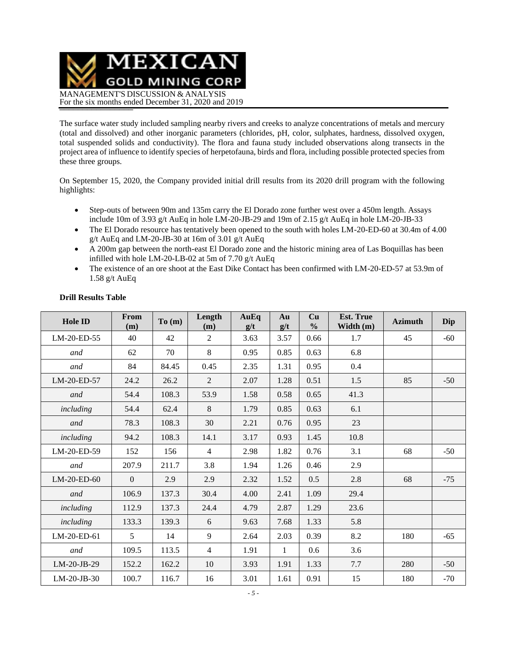MEXICAN **GOLD MINING CORP** MANAGEMENT'S DISCUSSION & ANALYSIS For the six months ended December 31, 2020 and 2019

The surface water study included sampling nearby rivers and creeks to analyze concentrations of metals and mercury (total and dissolved) and other inorganic parameters (chlorides, pH, color, sulphates, hardness, dissolved oxygen, total suspended solids and conductivity). The flora and fauna study included observations along transects in the project area of influence to identify species of herpetofauna, birds and flora, including possible protected species from these three groups.

On September 15, 2020, the Company provided initial drill results from its 2020 drill program with the following highlights:

- Step-outs of between 90m and 135m carry the El Dorado zone further west over a 450m length. Assays include 10m of 3.93 g/t AuEq in hole LM-20-JB-29 and 19m of 2.15 g/t AuEq in hole LM-20-JB-33
- The El Dorado resource has tentatively been opened to the south with holes LM-20-ED-60 at 30.4m of 4.00 g/t AuEq and LM-20-JB-30 at 16m of 3.01 g/t AuEq
- A 200m gap between the north-east El Dorado zone and the historic mining area of Las Boquillas has been infilled with hole LM-20-LB-02 at 5m of 7.70 g/t AuEq
- The existence of an ore shoot at the East Dike Contact has been confirmed with LM-20-ED-57 at 53.9m of 1.58 g/t AuEq

| Hole ID       | From<br>(m)  | To(m) | Length<br>(m)  | AuEq<br>g/t | Au<br>g/t    | Cu<br>$\frac{0}{0}$ | <b>Est. True</b><br>Width $(m)$ | <b>Azimuth</b> | Dip   |
|---------------|--------------|-------|----------------|-------------|--------------|---------------------|---------------------------------|----------------|-------|
| LM-20-ED-55   | 40           | 42    | 2              | 3.63        | 3.57         | 0.66                | 1.7                             | 45             | $-60$ |
| and           | 62           | 70    | 8              | 0.95        | 0.85         | 0.63                | 6.8                             |                |       |
| and           | 84           | 84.45 | 0.45           | 2.35        | 1.31         | 0.95                | 0.4                             |                |       |
| LM-20-ED-57   | 24.2         | 26.2  | 2              | 2.07        | 1.28         | 0.51                | 1.5                             | 85             | $-50$ |
| and           | 54.4         | 108.3 | 53.9           | 1.58        | 0.58         | 0.65                | 41.3                            |                |       |
| including     | 54.4         | 62.4  | 8              | 1.79        | 0.85         | 0.63                | 6.1                             |                |       |
| and           | 78.3         | 108.3 | 30             | 2.21        | 0.76         | 0.95                | 23                              |                |       |
| including     | 94.2         | 108.3 | 14.1           | 3.17        | 0.93         | 1.45                | 10.8                            |                |       |
| LM-20-ED-59   | 152          | 156   | $\overline{4}$ | 2.98        | 1.82         | 0.76                | 3.1                             | 68             | $-50$ |
| and           | 207.9        | 211.7 | 3.8            | 1.94        | 1.26         | 0.46                | 2.9                             |                |       |
| LM-20-ED-60   | $\mathbf{0}$ | 2.9   | 2.9            | 2.32        | 1.52         | 0.5                 | 2.8                             | 68             | $-75$ |
| and           | 106.9        | 137.3 | 30.4           | 4.00        | 2.41         | 1.09                | 29.4                            |                |       |
| including     | 112.9        | 137.3 | 24.4           | 4.79        | 2.87         | 1.29                | 23.6                            |                |       |
| including     | 133.3        | 139.3 | 6              | 9.63        | 7.68         | 1.33                | 5.8                             |                |       |
| LM-20-ED-61   | 5            | 14    | 9              | 2.64        | 2.03         | 0.39                | 8.2                             | 180            | $-65$ |
| and           | 109.5        | 113.5 | $\overline{4}$ | 1.91        | $\mathbf{1}$ | 0.6                 | 3.6                             |                |       |
| LM-20-JB-29   | 152.2        | 162.2 | 10             | 3.93        | 1.91         | 1.33                | 7.7                             | 280            | $-50$ |
| $LM-20-JB-30$ | 100.7        | 116.7 | 16             | 3.01        | 1.61         | 0.91                | 15                              | 180            | $-70$ |

### **Drill Results Table**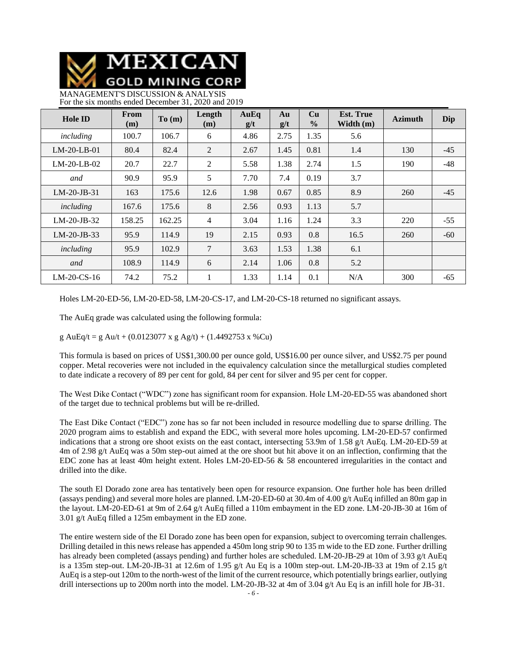

MANAGEMENT'S DISCUSSION & ANALYSIS For the six months ended December 31, 2020 and 2019

| <b>Hole ID</b> | <b>From</b><br>(m) | To(m)  | Length<br>(m)  | AuEq<br>g/t | Au<br>g/t | Cu<br>$\frac{0}{0}$ | <b>Est. True</b><br>Width (m) | <b>Azimuth</b> | Dip   |
|----------------|--------------------|--------|----------------|-------------|-----------|---------------------|-------------------------------|----------------|-------|
| including      | 100.7              | 106.7  | 6              | 4.86        | 2.75      | 1.35                | 5.6                           |                |       |
| $LM-20-LB-01$  | 80.4               | 82.4   | 2              | 2.67        | 1.45      | 0.81                | 1.4                           | 130            | $-45$ |
| $LM-20-LB-02$  | 20.7               | 22.7   | 2              | 5.58        | 1.38      | 2.74                | 1.5                           | 190            | $-48$ |
| and            | 90.9               | 95.9   | 5              | 7.70        | 7.4       | 0.19                | 3.7                           |                |       |
| $LM-20-JB-31$  | 163                | 175.6  | 12.6           | 1.98        | 0.67      | 0.85                | 8.9                           | 260            | $-45$ |
| including      | 167.6              | 175.6  | 8              | 2.56        | 0.93      | 1.13                | 5.7                           |                |       |
| $LM-20-JB-32$  | 158.25             | 162.25 | $\overline{4}$ | 3.04        | 1.16      | 1.24                | 3.3                           | 220            | $-55$ |
| $LM-20-JB-33$  | 95.9               | 114.9  | 19             | 2.15        | 0.93      | 0.8                 | 16.5                          | 260            | $-60$ |
| including      | 95.9               | 102.9  | 7              | 3.63        | 1.53      | 1.38                | 6.1                           |                |       |
| and            | 108.9              | 114.9  | 6              | 2.14        | 1.06      | 0.8                 | 5.2                           |                |       |
| $LM-20$ -CS-16 | 74.2               | 75.2   |                | 1.33        | 1.14      | 0.1                 | N/A                           | 300            | $-65$ |

Holes LM-20-ED-56, LM-20-ED-58, LM-20-CS-17, and LM-20-CS-18 returned no significant assays.

The AuEq grade was calculated using the following formula:

g AuEq/t = g Au/t + (0.0123077 x g Ag/t) + (1.4492753 x %Cu)

This formula is based on prices of US\$1,300.00 per ounce gold, US\$16.00 per ounce silver, and US\$2.75 per pound copper. Metal recoveries were not included in the equivalency calculation since the metallurgical studies completed to date indicate a recovery of 89 per cent for gold, 84 per cent for silver and 95 per cent for copper.

The West Dike Contact ("WDC") zone has significant room for expansion. Hole LM-20-ED-55 was abandoned short of the target due to technical problems but will be re-drilled.

The East Dike Contact ("EDC") zone has so far not been included in resource modelling due to sparse drilling. The 2020 program aims to establish and expand the EDC, with several more holes upcoming. LM-20-ED-57 confirmed indications that a strong ore shoot exists on the east contact, intersecting 53.9m of 1.58 g/t AuEq. LM-20-ED-59 at 4m of 2.98 g/t AuEq was a 50m step-out aimed at the ore shoot but hit above it on an inflection, confirming that the EDC zone has at least 40m height extent. Holes LM-20-ED-56 & 58 encountered irregularities in the contact and drilled into the dike.

The south El Dorado zone area has tentatively been open for resource expansion. One further hole has been drilled (assays pending) and several more holes are planned. LM-20-ED-60 at 30.4m of 4.00 g/t AuEq infilled an 80m gap in the layout. LM-20-ED-61 at 9m of 2.64 g/t AuEq filled a 110m embayment in the ED zone. LM-20-JB-30 at 16m of 3.01 g/t AuEq filled a 125m embayment in the ED zone.

The entire western side of the El Dorado zone has been open for expansion, subject to overcoming terrain challenges. Drilling detailed in this news release has appended a 450m long strip 90 to 135 m wide to the ED zone. Further drilling has already been completed (assays pending) and further holes are scheduled. LM-20-JB-29 at 10m of 3.93 g/t AuEq is a 135m step-out. LM-20-JB-31 at 12.6m of 1.95 g/t Au Eq is a 100m step-out. LM-20-JB-33 at 19m of 2.15 g/t AuEq is a step-out 120m to the north-west of the limit of the current resource, which potentially brings earlier, outlying drill intersections up to 200m north into the model. LM-20-JB-32 at 4m of 3.04 g/t Au Eq is an infill hole for JB-31.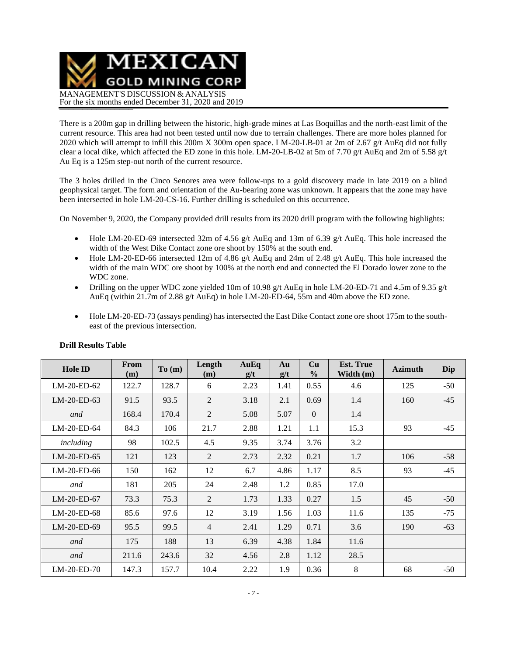MEXICAN **GOLD MINING CORP** MANAGEMENT'S DISCUSSION & ANALYSIS For the six months ended December 31, 2020 and 2019

There is a 200m gap in drilling between the historic, high-grade mines at Las Boquillas and the north-east limit of the current resource. This area had not been tested until now due to terrain challenges. There are more holes planned for 2020 which will attempt to infill this 200m X 300m open space. LM-20-LB-01 at 2m of 2.67 g/t AuEq did not fully clear a local dike, which affected the ED zone in this hole. LM-20-LB-02 at 5m of 7.70 g/t AuEq and 2m of 5.58 g/t Au Eq is a 125m step-out north of the current resource.

The 3 holes drilled in the Cinco Senores area were follow-ups to a gold discovery made in late 2019 on a blind geophysical target. The form and orientation of the Au-bearing zone was unknown. It appears that the zone may have been intersected in hole LM-20-CS-16. Further drilling is scheduled on this occurrence.

On November 9, 2020, the Company provided drill results from its 2020 drill program with the following highlights:

- Hole LM-20-ED-69 intersected 32m of 4.56 g/t AuEq and 13m of 6.39 g/t AuEq. This hole increased the width of the West Dike Contact zone ore shoot by 150% at the south end.
- Hole LM-20-ED-66 intersected 12m of 4.86 g/t AuEq and 24m of 2.48 g/t AuEq. This hole increased the width of the main WDC ore shoot by 100% at the north end and connected the El Dorado lower zone to the WDC zone.
- Drilling on the upper WDC zone yielded 10m of 10.98 g/t AuEq in hole LM-20-ED-71 and 4.5m of 9.35 g/t AuEq (within 21.7m of 2.88 g/t AuEq) in hole LM-20-ED-64, 55m and 40m above the ED zone.
- Hole LM-20-ED-73 (assays pending) has intersected the East Dike Contact zone ore shoot 175m to the southeast of the previous intersection.

| <b>Hole ID</b> | From<br>(m) | To(m) | Length<br>(m)  | AuEq<br>g/t | Au<br>g/t | Cu<br>$\frac{0}{0}$ | <b>Est. True</b><br>Width (m) | <b>Azimuth</b> | Dip   |
|----------------|-------------|-------|----------------|-------------|-----------|---------------------|-------------------------------|----------------|-------|
| LM-20-ED-62    | 122.7       | 128.7 | 6              | 2.23        | 1.41      | 0.55                | 4.6                           | 125            | $-50$ |
| LM-20-ED-63    | 91.5        | 93.5  | 2              | 3.18        | 2.1       | 0.69                | 1.4                           | 160            | $-45$ |
| and            | 168.4       | 170.4 | 2              | 5.08        | 5.07      | $\overline{0}$      | 1.4                           |                |       |
| LM-20-ED-64    | 84.3        | 106   | 21.7           | 2.88        | 1.21      | 1.1                 | 15.3                          | 93             | $-45$ |
| including      | 98          | 102.5 | 4.5            | 9.35        | 3.74      | 3.76                | 3.2                           |                |       |
| LM-20-ED-65    | 121         | 123   | 2              | 2.73        | 2.32      | 0.21                | 1.7                           | 106            | $-58$ |
| LM-20-ED-66    | 150         | 162   | 12             | 6.7         | 4.86      | 1.17                | 8.5                           | 93             | $-45$ |
| and            | 181         | 205   | 24             | 2.48        | 1.2       | 0.85                | 17.0                          |                |       |
| $LM-20-ED-67$  | 73.3        | 75.3  | 2              | 1.73        | 1.33      | 0.27                | 1.5                           | 45             | $-50$ |
| LM-20-ED-68    | 85.6        | 97.6  | 12             | 3.19        | 1.56      | 1.03                | 11.6                          | 135            | $-75$ |
| $LM-20-ED-69$  | 95.5        | 99.5  | $\overline{4}$ | 2.41        | 1.29      | 0.71                | 3.6                           | 190            | $-63$ |
| and            | 175         | 188   | 13             | 6.39        | 4.38      | 1.84                | 11.6                          |                |       |
| and            | 211.6       | 243.6 | 32             | 4.56        | 2.8       | 1.12                | 28.5                          |                |       |
| LM-20-ED-70    | 147.3       | 157.7 | 10.4           | 2.22        | 1.9       | 0.36                | 8                             | 68             | $-50$ |

### **Drill Results Table**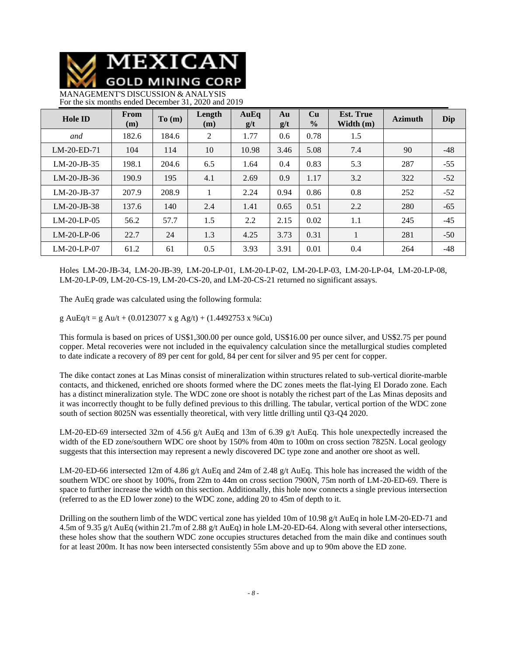

MANAGEMENT'S DISCUSSION & ANALYSIS For the six months ended December 31, 2020 and 2019

| <b>Hole ID</b> | From<br>(m) | To(m) | Length<br>(m) | AuEq<br>g/t | Au<br>g/t | Cu<br>$\frac{0}{0}$ | <b>Est. True</b><br>Width $(m)$ | <b>Azimuth</b> | Dip   |
|----------------|-------------|-------|---------------|-------------|-----------|---------------------|---------------------------------|----------------|-------|
| and            | 182.6       | 184.6 | 2             | 1.77        | 0.6       | 0.78                | 1.5                             |                |       |
| $LM-20-ED-71$  | 104         | 114   | 10            | 10.98       | 3.46      | 5.08                | 7.4                             | 90             | $-48$ |
| $LM-20-JB-35$  | 198.1       | 204.6 | 6.5           | 1.64        | 0.4       | 0.83                | 5.3                             | 287            | $-55$ |
| $LM-20-JB-36$  | 190.9       | 195   | 4.1           | 2.69        | 0.9       | 1.17                | 3.2                             | 322            | $-52$ |
| $LM-20-JB-37$  | 207.9       | 208.9 |               | 2.24        | 0.94      | 0.86                | 0.8                             | 252            | $-52$ |
| $LM-20-JB-38$  | 137.6       | 140   | 2.4           | 1.41        | 0.65      | 0.51                | 2.2                             | 280            | $-65$ |
| $LM-20-LP-05$  | 56.2        | 57.7  | 1.5           | 2.2         | 2.15      | 0.02                | 1.1                             | 245            | $-45$ |
| $LM-20-LP-06$  | 22.7        | 24    | 1.3           | 4.25        | 3.73      | 0.31                |                                 | 281            | $-50$ |
| $LM-20-LP-07$  | 61.2        | 61    | 0.5           | 3.93        | 3.91      | 0.01                | 0.4                             | 264            | $-48$ |

Holes LM-20-JB-34, LM-20-JB-39, LM-20-LP-01, LM-20-LP-02, LM-20-LP-03, LM-20-LP-04, LM-20-LP-08, LM-20-LP-09, LM-20-CS-19, LM-20-CS-20, and LM-20-CS-21 returned no significant assays.

The AuEq grade was calculated using the following formula:

g AuEq/t = g Au/t + (0.0123077 x g Ag/t) + (1.4492753 x %Cu)

This formula is based on prices of US\$1,300.00 per ounce gold, US\$16.00 per ounce silver, and US\$2.75 per pound copper. Metal recoveries were not included in the equivalency calculation since the metallurgical studies completed to date indicate a recovery of 89 per cent for gold, 84 per cent for silver and 95 per cent for copper.

The dike contact zones at Las Minas consist of mineralization within structures related to sub-vertical diorite-marble contacts, and thickened, enriched ore shoots formed where the DC zones meets the flat-lying El Dorado zone. Each has a distinct mineralization style. The WDC zone ore shoot is notably the richest part of the Las Minas deposits and it was incorrectly thought to be fully defined previous to this drilling. The tabular, vertical portion of the WDC zone south of section 8025N was essentially theoretical, with very little drilling until Q3-Q4 2020.

LM-20-ED-69 intersected 32m of 4.56 g/t AuEq and 13m of 6.39 g/t AuEq. This hole unexpectedly increased the width of the ED zone/southern WDC ore shoot by 150% from 40m to 100m on cross section 7825N. Local geology suggests that this intersection may represent a newly discovered DC type zone and another ore shoot as well.

LM-20-ED-66 intersected 12m of 4.86 g/t AuEq and 24m of 2.48 g/t AuEq. This hole has increased the width of the southern WDC ore shoot by 100%, from 22m to 44m on cross section 7900N, 75m north of LM-20-ED-69. There is space to further increase the width on this section. Additionally, this hole now connects a single previous intersection (referred to as the ED lower zone) to the WDC zone, adding 20 to 45m of depth to it.

Drilling on the southern limb of the WDC vertical zone has yielded 10m of 10.98 g/t AuEq in hole LM-20-ED-71 and 4.5m of 9.35 g/t AuEq (within 21.7m of 2.88 g/t AuEq) in hole LM-20-ED-64. Along with several other intersections, these holes show that the southern WDC zone occupies structures detached from the main dike and continues south for at least 200m. It has now been intersected consistently 55m above and up to 90m above the ED zone.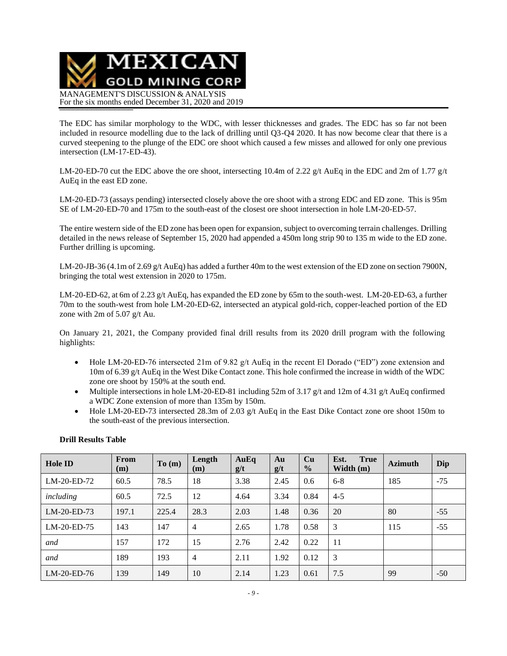

The EDC has similar morphology to the WDC, with lesser thicknesses and grades. The EDC has so far not been included in resource modelling due to the lack of drilling until Q3-Q4 2020. It has now become clear that there is a curved steepening to the plunge of the EDC ore shoot which caused a few misses and allowed for only one previous intersection (LM-17-ED-43).

LM-20-ED-70 cut the EDC above the ore shoot, intersecting 10.4m of 2.22 g/t AuEq in the EDC and 2m of 1.77 g/t AuEq in the east ED zone.

LM-20-ED-73 (assays pending) intersected closely above the ore shoot with a strong EDC and ED zone. This is 95m SE of LM-20-ED-70 and 175m to the south-east of the closest ore shoot intersection in hole LM-20-ED-57.

The entire western side of the ED zone has been open for expansion, subject to overcoming terrain challenges. Drilling detailed in the news release of September 15, 2020 had appended a 450m long strip 90 to 135 m wide to the ED zone. Further drilling is upcoming.

LM-20-JB-36 (4.1m of 2.69 g/t AuEq) has added a further 40m to the west extension of the ED zone on section 7900N, bringing the total west extension in 2020 to 175m.

LM-20-ED-62, at 6m of 2.23 g/t AuEq, has expanded the ED zone by 65m to the south-west. LM-20-ED-63, a further 70m to the south-west from hole LM-20-ED-62, intersected an atypical gold-rich, copper-leached portion of the ED zone with 2m of 5.07 g/t Au.

On January 21, 2021, the Company provided final drill results from its 2020 drill program with the following highlights:

- Hole LM-20-ED-76 intersected 21m of 9.82 g/t AuEq in the recent El Dorado ("ED") zone extension and 10m of 6.39 g/t AuEq in the West Dike Contact zone. This hole confirmed the increase in width of the WDC zone ore shoot by 150% at the south end.
- Multiple intersections in hole LM-20-ED-81 including 52m of 3.17 g/t and 12m of 4.31 g/t AuEq confirmed a WDC Zone extension of more than 135m by 150m.
- Hole LM-20-ED-73 intersected 28.3m of 2.03 g/t AuEq in the East Dike Contact zone ore shoot 150m to the south-east of the previous intersection.

| <b>Hole ID</b> | From<br>(m) | To (m) | Length<br>(m)  | AuEq<br>g/t | Au<br>g/t | Cu<br>$\frac{0}{0}$ | <b>True</b><br>Est.<br>Width $(m)$ | <b>Azimuth</b> | Dip   |
|----------------|-------------|--------|----------------|-------------|-----------|---------------------|------------------------------------|----------------|-------|
| LM-20-ED-72    | 60.5        | 78.5   | 18             | 3.38        | 2.45      | 0.6                 | $6 - 8$                            | 185            | $-75$ |
| including      | 60.5        | 72.5   | 12             | 4.64        | 3.34      | 0.84                | $4 - 5$                            |                |       |
| $LM-20-ED-73$  | 197.1       | 225.4  | 28.3           | 2.03        | 1.48      | 0.36                | 20                                 | 80             | $-55$ |
| LM-20-ED-75    | 143         | 147    | $\overline{4}$ | 2.65        | 1.78      | 0.58                | 3                                  | 115            | $-55$ |
| and            | 157         | 172    | 15             | 2.76        | 2.42      | 0.22                | 11                                 |                |       |
| and            | 189         | 193    | $\overline{4}$ | 2.11        | 1.92      | 0.12                | 3                                  |                |       |
| $LM-20-ED-76$  | 139         | 149    | 10             | 2.14        | 1.23      | 0.61                | 7.5                                | 99             | $-50$ |

### **Drill Results Table**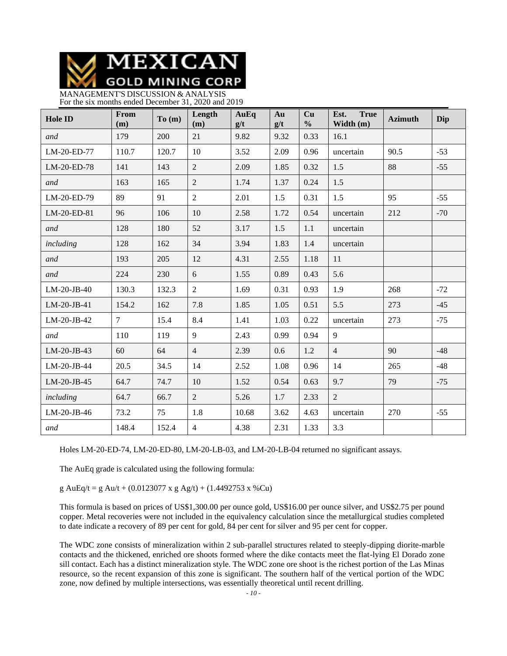MEXICAN **GOLD MINING CORP** 

MANAGEMENT'S DISCUSSION & ANALYSIS For the six months ended December 31, 2020 and 2019

| <b>Hole ID</b> | From<br>(m)    | To(m) | Length<br>(m)  | AuEq<br>g/t | Au<br>g/t | Cu<br>$\frac{0}{0}$ | <b>True</b><br>Est.<br>Width (m) | <b>Azimuth</b> | Dip   |
|----------------|----------------|-------|----------------|-------------|-----------|---------------------|----------------------------------|----------------|-------|
| and            | 179            | 200   | 21             | 9.82        | 9.32      | 0.33                | 16.1                             |                |       |
| LM-20-ED-77    | 110.7          | 120.7 | 10             | 3.52        | 2.09      | 0.96                | uncertain                        | 90.5           | $-53$ |
| LM-20-ED-78    | 141            | 143   | $\overline{2}$ | 2.09        | 1.85      | 0.32                | 1.5                              | 88             | $-55$ |
| and            | 163            | 165   | $\overline{2}$ | 1.74        | 1.37      | 0.24                | 1.5                              |                |       |
| LM-20-ED-79    | 89             | 91    | $\overline{2}$ | 2.01        | 1.5       | 0.31                | 1.5                              | 95             | $-55$ |
| LM-20-ED-81    | 96             | 106   | 10             | 2.58        | 1.72      | 0.54                | uncertain                        | 212            | $-70$ |
| and            | 128            | 180   | 52             | 3.17        | 1.5       | 1.1                 | uncertain                        |                |       |
| including      | 128            | 162   | 34             | 3.94        | 1.83      | 1.4                 | uncertain                        |                |       |
| and            | 193            | 205   | 12             | 4.31        | 2.55      | 1.18                | 11                               |                |       |
| and            | 224            | 230   | 6              | 1.55        | 0.89      | 0.43                | 5.6                              |                |       |
| $LM-20-JB-40$  | 130.3          | 132.3 | $\overline{2}$ | 1.69        | 0.31      | 0.93                | 1.9                              | 268            | $-72$ |
| LM-20-JB-41    | 154.2          | 162   | 7.8            | 1.85        | 1.05      | 0.51                | 5.5                              | 273            | $-45$ |
| LM-20-JB-42    | $\overline{7}$ | 15.4  | 8.4            | 1.41        | 1.03      | 0.22                | uncertain                        | 273            | $-75$ |
| and            | 110            | 119   | 9              | 2.43        | 0.99      | 0.94                | 9                                |                |       |
| LM-20-JB-43    | 60             | 64    | $\overline{4}$ | 2.39        | 0.6       | 1.2                 | $\overline{4}$                   | 90             | $-48$ |
| LM-20-JB-44    | 20.5           | 34.5  | 14             | 2.52        | 1.08      | 0.96                | 14                               | 265            | $-48$ |
| LM-20-JB-45    | 64.7           | 74.7  | 10             | 1.52        | 0.54      | 0.63                | 9.7                              | 79             | $-75$ |
| including      | 64.7           | 66.7  | $\overline{2}$ | 5.26        | 1.7       | 2.33                | $\overline{2}$                   |                |       |
| LM-20-JB-46    | 73.2           | 75    | 1.8            | 10.68       | 3.62      | 4.63                | uncertain                        | 270            | $-55$ |
| and            | 148.4          | 152.4 | $\overline{4}$ | 4.38        | 2.31      | 1.33                | 3.3                              |                |       |

Holes LM-20-ED-74, LM-20-ED-80, LM-20-LB-03, and LM-20-LB-04 returned no significant assays.

The AuEq grade is calculated using the following formula:

g AuEq/t = g Au/t + (0.0123077 x g Ag/t) + (1.4492753 x %Cu)

This formula is based on prices of US\$1,300.00 per ounce gold, US\$16.00 per ounce silver, and US\$2.75 per pound copper. Metal recoveries were not included in the equivalency calculation since the metallurgical studies completed to date indicate a recovery of 89 per cent for gold, 84 per cent for silver and 95 per cent for copper.

The WDC zone consists of mineralization within 2 sub-parallel structures related to steeply-dipping diorite-marble contacts and the thickened, enriched ore shoots formed where the dike contacts meet the flat-lying El Dorado zone sill contact. Each has a distinct mineralization style. The WDC zone ore shoot is the richest portion of the Las Minas resource, so the recent expansion of this zone is significant. The southern half of the vertical portion of the WDC zone, now defined by multiple intersections, was essentially theoretical until recent drilling.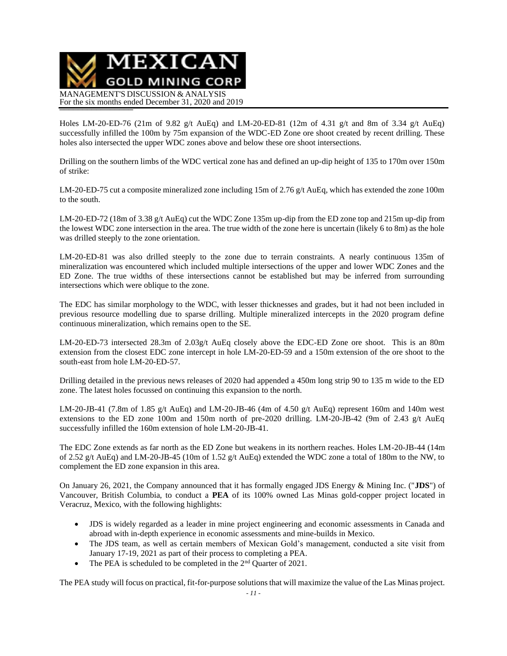

Holes LM-20-ED-76 (21m of 9.82 g/t AuEq) and LM-20-ED-81 (12m of 4.31 g/t and 8m of 3.34 g/t AuEq) successfully infilled the 100m by 75m expansion of the WDC-ED Zone ore shoot created by recent drilling. These holes also intersected the upper WDC zones above and below these ore shoot intersections.

Drilling on the southern limbs of the WDC vertical zone has and defined an up-dip height of 135 to 170m over 150m of strike:

LM-20-ED-75 cut a composite mineralized zone including 15m of 2.76 g/t AuEq, which has extended the zone 100m to the south.

LM-20-ED-72 (18m of 3.38 g/t AuEq) cut the WDC Zone 135m up-dip from the ED zone top and 215m up-dip from the lowest WDC zone intersection in the area. The true width of the zone here is uncertain (likely 6 to 8m) as the hole was drilled steeply to the zone orientation.

LM-20-ED-81 was also drilled steeply to the zone due to terrain constraints. A nearly continuous 135m of mineralization was encountered which included multiple intersections of the upper and lower WDC Zones and the ED Zone. The true widths of these intersections cannot be established but may be inferred from surrounding intersections which were oblique to the zone.

The EDC has similar morphology to the WDC, with lesser thicknesses and grades, but it had not been included in previous resource modelling due to sparse drilling. Multiple mineralized intercepts in the 2020 program define continuous mineralization, which remains open to the SE.

LM-20-ED-73 intersected 28.3m of 2.03g/t AuEq closely above the EDC-ED Zone ore shoot. This is an 80m extension from the closest EDC zone intercept in hole LM-20-ED-59 and a 150m extension of the ore shoot to the south-east from hole LM-20-ED-57.

Drilling detailed in the previous news releases of 2020 had appended a 450m long strip 90 to 135 m wide to the ED zone. The latest holes focussed on continuing this expansion to the north.

LM-20-JB-41 (7.8m of 1.85 g/t AuEq) and LM-20-JB-46 (4m of 4.50 g/t AuEq) represent 160m and 140m west extensions to the ED zone 100m and 150m north of pre-2020 drilling. LM-20-JB-42 (9m of 2.43 g/t AuEq successfully infilled the 160m extension of hole LM-20-JB-41.

The EDC Zone extends as far north as the ED Zone but weakens in its northern reaches. Holes LM-20-JB-44 (14m of 2.52 g/t AuEq) and LM-20-JB-45 (10m of 1.52 g/t AuEq) extended the WDC zone a total of 180m to the NW, to complement the ED zone expansion in this area.

On January 26, 2021, the Company announced that it has formally engaged JDS Energy & Mining Inc. ("**JDS**") of Vancouver, British Columbia, to conduct a **PEA** of its 100% owned Las Minas gold-copper project located in Veracruz, Mexico, with the following highlights:

- JDS is widely regarded as a leader in mine project engineering and economic assessments in Canada and abroad with in-depth experience in economic assessments and mine-builds in Mexico.
- The JDS team, as well as certain members of Mexican Gold's management, conducted a site visit from January 17-19, 2021 as part of their process to completing a PEA.
- The PEA is scheduled to be completed in the  $2<sup>nd</sup>$  Quarter of 2021.

The PEA study will focus on practical, fit-for-purpose solutions that will maximize the value of the Las Minas project.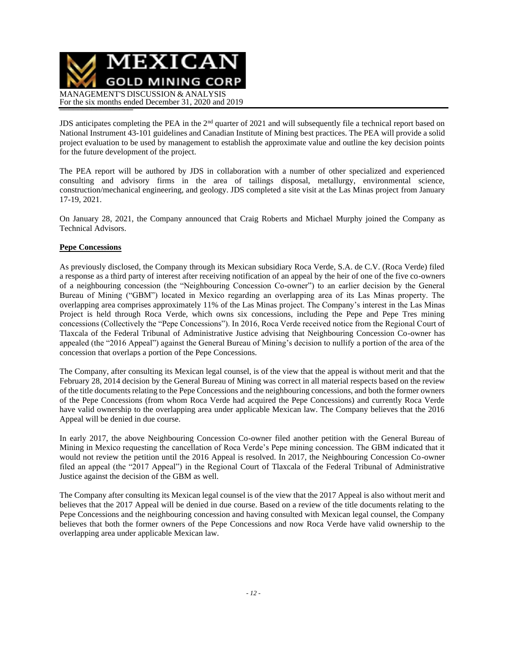

JDS anticipates completing the PEA in the 2<sup>nd</sup> quarter of 2021 and will subsequently file a technical report based on National Instrument 43-101 guidelines and Canadian Institute of Mining best practices. The PEA will provide a solid project evaluation to be used by management to establish the approximate value and outline the key decision points for the future development of the project.

The PEA report will be authored by JDS in collaboration with a number of other specialized and experienced consulting and advisory firms in the area of tailings disposal, metallurgy, environmental science, construction/mechanical engineering, and geology. JDS completed a site visit at the Las Minas project from January 17-19, 2021.

On January 28, 2021, the Company announced that Craig Roberts and Michael Murphy joined the Company as Technical Advisors.

### **Pepe Concessions**

As previously disclosed, the Company through its Mexican subsidiary Roca Verde, S.A. de C.V. (Roca Verde) filed a response as a third party of interest after receiving notification of an appeal by the heir of one of the five co-owners of a neighbouring concession (the "Neighbouring Concession Co-owner") to an earlier decision by the General Bureau of Mining ("GBM") located in Mexico regarding an overlapping area of its Las Minas property. The overlapping area comprises approximately 11% of the Las Minas project. The Company's interest in the Las Minas Project is held through Roca Verde, which owns six concessions, including the Pepe and Pepe Tres mining concessions (Collectively the "Pepe Concessions"). In 2016, Roca Verde received notice from the Regional Court of Tlaxcala of the Federal Tribunal of Administrative Justice advising that Neighbouring Concession Co-owner has appealed (the "2016 Appeal") against the General Bureau of Mining's decision to nullify a portion of the area of the concession that overlaps a portion of the Pepe Concessions.

The Company, after consulting its Mexican legal counsel, is of the view that the appeal is without merit and that the February 28, 2014 decision by the General Bureau of Mining was correct in all material respects based on the review of the title documents relating to the Pepe Concessions and the neighbouring concessions, and both the former owners of the Pepe Concessions (from whom Roca Verde had acquired the Pepe Concessions) and currently Roca Verde have valid ownership to the overlapping area under applicable Mexican law. The Company believes that the 2016 Appeal will be denied in due course.

In early 2017, the above Neighbouring Concession Co-owner filed another petition with the General Bureau of Mining in Mexico requesting the cancellation of Roca Verde's Pepe mining concession. The GBM indicated that it would not review the petition until the 2016 Appeal is resolved. In 2017, the Neighbouring Concession Co-owner filed an appeal (the "2017 Appeal") in the Regional Court of Tlaxcala of the Federal Tribunal of Administrative Justice against the decision of the GBM as well.

The Company after consulting its Mexican legal counsel is of the view that the 2017 Appeal is also without merit and believes that the 2017 Appeal will be denied in due course. Based on a review of the title documents relating to the Pepe Concessions and the neighbouring concession and having consulted with Mexican legal counsel, the Company believes that both the former owners of the Pepe Concessions and now Roca Verde have valid ownership to the overlapping area under applicable Mexican law.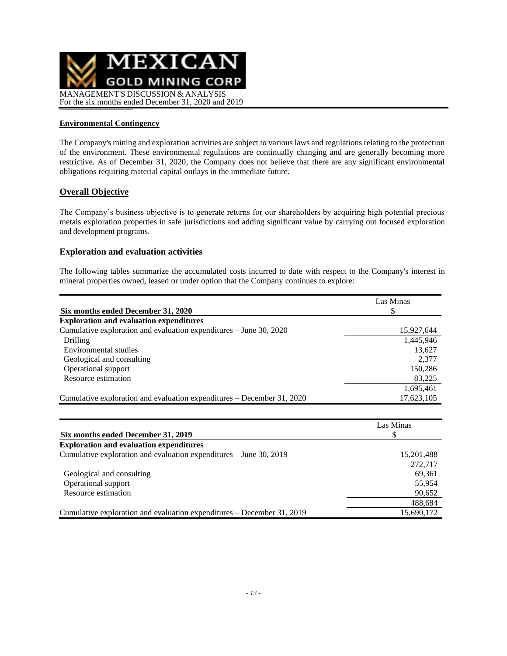

### **Environmental Contingency**

The Company's mining and exploration activities are subject to various laws and regulations relating to the protection of the environment. These environmental regulations are continually changing and are generally becoming more restrictive. As of December 31, 2020, the Company does not believe that there are any significant environmental obligations requiring material capital outlays in the immediate future.

### **Overall Objective**

The Company's business objective is to generate returns for our shareholders by acquiring high potential precious metals exploration properties in safe jurisdictions and adding significant value by carrying out focused exploration and development programs.

#### **Exploration and evaluation activities**

The following tables summarize the accumulated costs incurred to date with respect to the Company's interest in mineral properties owned, leased or under option that the Company continues to explore:

|                                                                          | Las Minas  |
|--------------------------------------------------------------------------|------------|
| Six months ended December 31, 2020                                       |            |
| <b>Exploration and evaluation expenditures</b>                           |            |
| Cumulative exploration and evaluation expenditures – June 30, 2020       | 15,927,644 |
| Drilling                                                                 | 1,445,946  |
| Environmental studies                                                    | 13,627     |
| Geological and consulting                                                | 2.377      |
| Operational support                                                      | 150,286    |
| Resource estimation                                                      | 83,225     |
|                                                                          | 1,695,461  |
| Cumulative exploration and evaluation expenditures $-$ December 31, 2020 | 17,623,105 |

| Six months ended December 31, 2019                                       | Las Minas  |
|--------------------------------------------------------------------------|------------|
| <b>Exploration and evaluation expenditures</b>                           |            |
| Cumulative exploration and evaluation expenditures – June 30, 2019       | 15,201,488 |
|                                                                          | 272,717    |
| Geological and consulting                                                | 69,361     |
| Operational support                                                      | 55,954     |
| Resource estimation                                                      | 90,652     |
|                                                                          | 488,684    |
| Cumulative exploration and evaluation expenditures $-$ December 31, 2019 | 15,690,172 |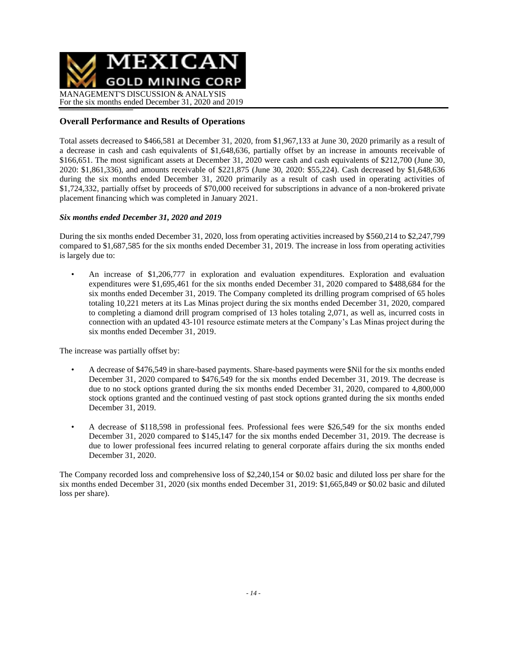

## **Overall Performance and Results of Operations**

Total assets decreased to \$466,581 at December 31, 2020, from \$1,967,133 at June 30, 2020 primarily as a result of a decrease in cash and cash equivalents of \$1,648,636, partially offset by an increase in amounts receivable of \$166,651. The most significant assets at December 31, 2020 were cash and cash equivalents of \$212,700 (June 30, 2020: \$1,861,336), and amounts receivable of \$221,875 (June 30, 2020: \$55,224). Cash decreased by \$1,648,636 during the six months ended December 31, 2020 primarily as a result of cash used in operating activities of \$1,724,332, partially offset by proceeds of \$70,000 received for subscriptions in advance of a non-brokered private placement financing which was completed in January 2021.

### *Six months ended December 31, 2020 and 2019*

During the six months ended December 31, 2020, loss from operating activities increased by \$560,214 to \$2,247,799 compared to \$1,687,585 for the six months ended December 31, 2019. The increase in loss from operating activities is largely due to:

• An increase of \$1,206,777 in exploration and evaluation expenditures. Exploration and evaluation expenditures were \$1,695,461 for the six months ended December 31, 2020 compared to \$488,684 for the six months ended December 31, 2019. The Company completed its drilling program comprised of 65 holes totaling 10,221 meters at its Las Minas project during the six months ended December 31, 2020, compared to completing a diamond drill program comprised of 13 holes totaling 2,071, as well as, incurred costs in connection with an updated 43-101 resource estimate meters at the Company's Las Minas project during the six months ended December 31, 2019.

The increase was partially offset by:

- A decrease of \$476,549 in share-based payments. Share-based payments were \$Nil for the six months ended December 31, 2020 compared to \$476,549 for the six months ended December 31, 2019. The decrease is due to no stock options granted during the six months ended December 31, 2020, compared to 4,800,000 stock options granted and the continued vesting of past stock options granted during the six months ended December 31, 2019.
- A decrease of \$118,598 in professional fees. Professional fees were \$26,549 for the six months ended December 31, 2020 compared to \$145,147 for the six months ended December 31, 2019. The decrease is due to lower professional fees incurred relating to general corporate affairs during the six months ended December 31, 2020.

The Company recorded loss and comprehensive loss of \$2,240,154 or \$0.02 basic and diluted loss per share for the six months ended December 31, 2020 (six months ended December 31, 2019: \$1,665,849 or \$0.02 basic and diluted loss per share).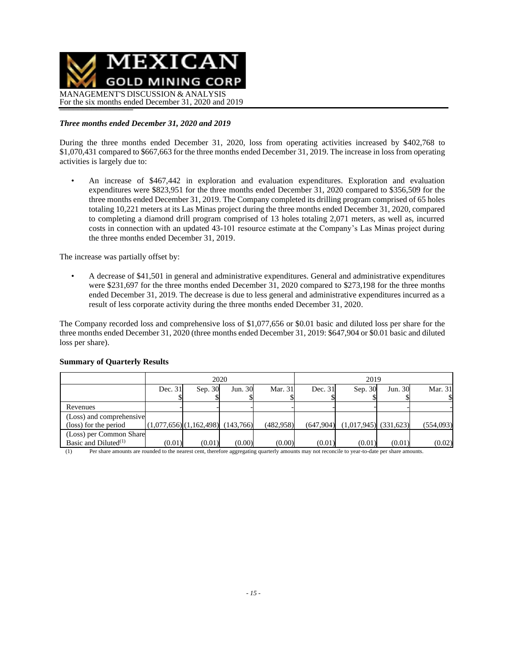

### *Three months ended December 31, 2020 and 2019*

During the three months ended December 31, 2020, loss from operating activities increased by \$402,768 to \$1,070,431 compared to \$667,663 for the three months ended December 31, 2019. The increase in loss from operating activities is largely due to:

• An increase of \$467,442 in exploration and evaluation expenditures. Exploration and evaluation expenditures were \$823,951 for the three months ended December 31, 2020 compared to \$356,509 for the three months ended December 31, 2019. The Company completed its drilling program comprised of 65 holes totaling 10,221 meters at its Las Minas project during the three months ended December 31, 2020, compared to completing a diamond drill program comprised of 13 holes totaling 2,071 meters, as well as, incurred costs in connection with an updated 43-101 resource estimate at the Company's Las Minas project during the three months ended December 31, 2019.

The increase was partially offset by:

• A decrease of \$41,501 in general and administrative expenditures. General and administrative expenditures were \$231,697 for the three months ended December 31, 2020 compared to \$273,198 for the three months ended December 31, 2019. The decrease is due to less general and administrative expenditures incurred as a result of less corporate activity during the three months ended December 31, 2020.

The Company recorded loss and comprehensive loss of \$1,077,656 or \$0.01 basic and diluted loss per share for the three months ended December 31, 2020 (three months ended December 31, 2019: \$647,904 or \$0.01 basic and diluted loss per share).

|                          |                                 |         | 2020    |            | 2019      |                           |         |           |
|--------------------------|---------------------------------|---------|---------|------------|-----------|---------------------------|---------|-----------|
|                          | Dec. $31$                       | Sep. 30 | Jun. 30 | Mar. 31    | Dec. 31   | Sep. 30                   | Jun. 30 | Mar. 31   |
|                          |                                 |         |         |            |           |                           |         |           |
| Revenues                 |                                 |         |         |            |           |                           |         |           |
| (Loss) and comprehensive |                                 |         |         |            |           |                           |         |           |
| (loss) for the period    | (1,077,656)(1,162,498)(143,766) |         |         | (482, 958) | (647,904) | $(1,017,945)$ $(331,623)$ |         | (554,093) |
| (Loss) per Common Share  |                                 |         |         |            |           |                           |         |           |
| Basic and Diluted $(1)$  | (0.01)                          | (0.01)  | (0.00)  | (0.00)     | (0.01)    | (0.01)                    | (0.01)  | (0.02)    |

#### **Summary of Quarterly Results**

(1) Per share amounts are rounded to the nearest cent, therefore aggregating quarterly amounts may not reconcile to year-to-date per share amounts.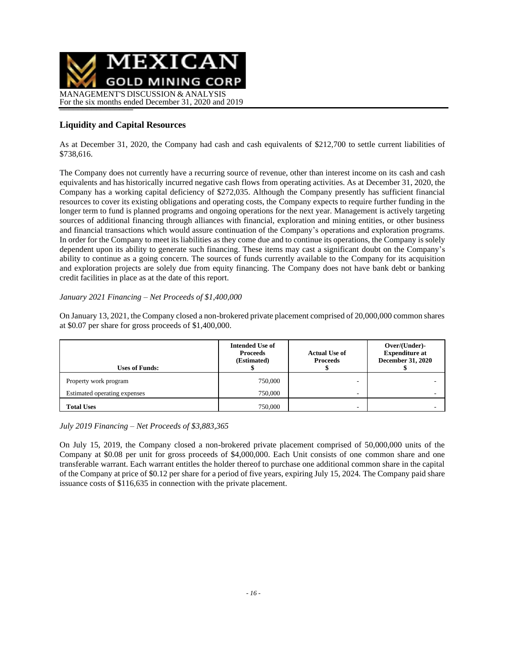

# **Liquidity and Capital Resources**

As at December 31, 2020, the Company had cash and cash equivalents of \$212,700 to settle current liabilities of \$738,616.

The Company does not currently have a recurring source of revenue, other than interest income on its cash and cash equivalents and has historically incurred negative cash flows from operating activities. As at December 31, 2020, the Company has a working capital deficiency of \$272,035. Although the Company presently has sufficient financial resources to cover its existing obligations and operating costs, the Company expects to require further funding in the longer term to fund is planned programs and ongoing operations for the next year. Management is actively targeting sources of additional financing through alliances with financial, exploration and mining entities, or other business and financial transactions which would assure continuation of the Company's operations and exploration programs. In order for the Company to meet its liabilities as they come due and to continue its operations, the Company is solely dependent upon its ability to generate such financing. These items may cast a significant doubt on the Company's ability to continue as a going concern. The sources of funds currently available to the Company for its acquisition and exploration projects are solely due from equity financing. The Company does not have bank debt or banking credit facilities in place as at the date of this report.

### *January 2021 Financing – Net Proceeds of \$1,400,000*

On January 13, 2021, the Company closed a non-brokered private placement comprised of 20,000,000 common shares at \$0.07 per share for gross proceeds of \$1,400,000.

| <b>Uses of Funds:</b>        | <b>Intended Use of</b><br><b>Proceeds</b><br>(Estimated) | <b>Actual Use of</b><br><b>Proceeds</b> | Over/(Under)-<br><b>Expenditure at</b><br><b>December 31, 2020</b> |
|------------------------------|----------------------------------------------------------|-----------------------------------------|--------------------------------------------------------------------|
| Property work program        | 750,000                                                  | -                                       |                                                                    |
| Estimated operating expenses | 750,000                                                  | -                                       |                                                                    |
| <b>Total Uses</b>            | 750,000                                                  | -                                       |                                                                    |

*July 2019 Financing – Net Proceeds of \$3,883,365*

On July 15, 2019, the Company closed a non-brokered private placement comprised of 50,000,000 units of the Company at \$0.08 per unit for gross proceeds of \$4,000,000. Each Unit consists of one common share and one transferable warrant. Each warrant entitles the holder thereof to purchase one additional common share in the capital of the Company at price of \$0.12 per share for a period of five years, expiring July 15, 2024. The Company paid share issuance costs of \$116,635 in connection with the private placement.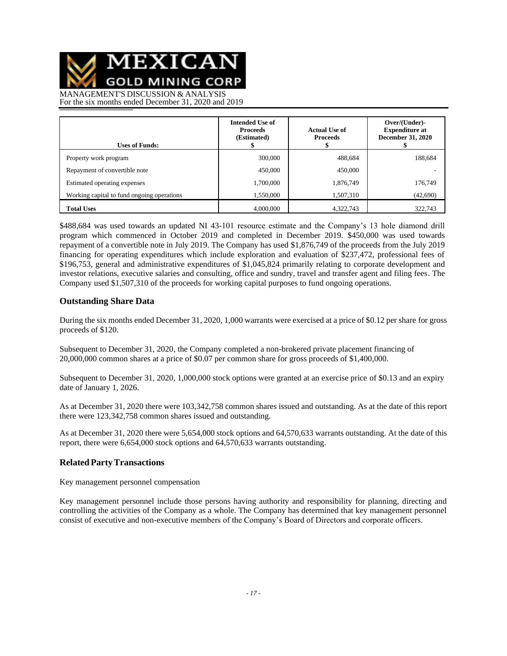MEXICAN

**GOLD MINING CORP** 

MANAGEMENT'S DISCUSSION & ANALYSIS For the six months ended December 31, 2020 and 2019

| <b>Uses of Funds:</b>                      | <b>Intended Use of</b><br><b>Proceeds</b><br>(Estimated) | <b>Actual Use of</b><br><b>Proceeds</b> | Over/(Under)-<br><b>Expenditure at</b><br><b>December 31, 2020</b> |
|--------------------------------------------|----------------------------------------------------------|-----------------------------------------|--------------------------------------------------------------------|
| Property work program                      | 300,000                                                  | 488,684                                 | 188,684                                                            |
| Repayment of convertible note              | 450,000                                                  | 450,000                                 |                                                                    |
| Estimated operating expenses               | 1,700,000                                                | 1,876,749                               | 176,749                                                            |
| Working capital to fund ongoing operations | 1,550,000                                                | 1,507,310                               | (42,690)                                                           |
| <b>Total Uses</b>                          | 4,000,000                                                | 4,322,743                               | 322,743                                                            |

\$488,684 was used towards an updated NI 43-101 resource estimate and the Company's 13 hole diamond drill program which commenced in October 2019 and completed in December 2019. \$450,000 was used towards repayment of a convertible note in July 2019. The Company has used \$1,876,749 of the proceeds from the July 2019 financing for operating expenditures which include exploration and evaluation of \$237,472, professional fees of \$196,753, general and administrative expenditures of \$1,045,824 primarily relating to corporate development and investor relations, executive salaries and consulting, office and sundry, travel and transfer agent and filing fees. The Company used \$1,507,310 of the proceeds for working capital purposes to fund ongoing operations.

### **Outstanding Share Data**

During the six months ended December 31, 2020, 1,000 warrants were exercised at a price of \$0.12 per share for gross proceeds of \$120.

Subsequent to December 31, 2020, the Company completed a non-brokered private placement financing of 20,000,000 common shares at a price of \$0.07 per common share for gross proceeds of \$1,400,000.

Subsequent to December 31, 2020, 1,000,000 stock options were granted at an exercise price of \$0.13 and an expiry date of January 1, 2026.

As at December 31, 2020 there were 103,342,758 common shares issued and outstanding. As at the date of this report there were 123,342,758 common shares issued and outstanding.

As at December 31, 2020 there were 5,654,000 stock options and 64,570,633 warrants outstanding. At the date of this report, there were 6,654,000 stock options and 64,570,633 warrants outstanding.

### **RelatedPartyTransactions**

Key management personnel compensation

Key management personnel include those persons having authority and responsibility for planning, directing and controlling the activities of the Company as a whole. The Company has determined that key management personnel consist of executive and non-executive members of the Company's Board of Directors and corporate officers.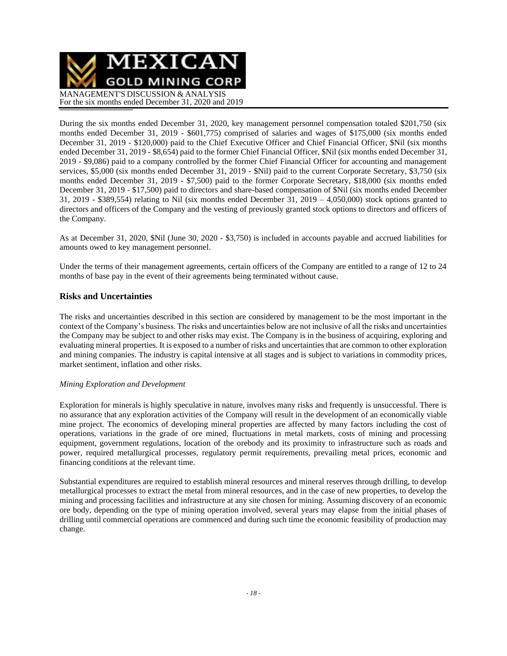

During the six months ended December 31, 2020, key management personnel compensation totaled \$201,750 (six months ended December 31, 2019 - \$601,775) comprised of salaries and wages of \$175,000 (six months ended December 31, 2019 - \$120,000) paid to the Chief Executive Officer and Chief Financial Officer, \$Nil (six months ended December 31, 2019 - \$8,654) paid to the former Chief Financial Officer, \$Nil (six months ended December 31, 2019 - \$9,086) paid to a company controlled by the former Chief Financial Officer for accounting and management services, \$5,000 (six months ended December 31, 2019 - \$Nil) paid to the current Corporate Secretary, \$3,750 (six months ended December 31, 2019 - \$7,500) paid to the former Corporate Secretary, \$18,000 (six months ended December 31, 2019 - \$17,500) paid to directors and share-based compensation of \$Nil (six months ended December 31, 2019 - \$389,554) relating to Nil (six months ended December 31, 2019 – 4,050,000) stock options granted to directors and officers of the Company and the vesting of previously granted stock options to directors and officers of the Company.

As at December 31, 2020, \$Nil (June 30, 2020 - \$3,750) is included in accounts payable and accrued liabilities for amounts owed to key management personnel.

Under the terms of their management agreements, certain officers of the Company are entitled to a range of 12 to 24 months of base pay in the event of their agreements being terminated without cause.

### **Risks and Uncertainties**

The risks and uncertainties described in this section are considered by management to be the most important in the context of the Company's business. The risks and uncertainties below are not inclusive of all the risks and uncertainties the Company may be subject to and other risks may exist. The Company is in the business of acquiring, exploring and evaluating mineral properties. It is exposed to a number of risks and uncertainties that are common to other exploration and mining companies. The industry is capital intensive at all stages and is subject to variations in commodity prices, market sentiment, inflation and other risks.

#### *Mining Exploration and Development*

Exploration for minerals is highly speculative in nature, involves many risks and frequently is unsuccessful. There is no assurance that any exploration activities of the Company will result in the development of an economically viable mine project. The economics of developing mineral properties are affected by many factors including the cost of operations, variations in the grade of ore mined, fluctuations in metal markets, costs of mining and processing equipment, government regulations, location of the orebody and its proximity to infrastructure such as roads and power, required metallurgical processes, regulatory permit requirements, prevailing metal prices, economic and financing conditions at the relevant time.

Substantial expenditures are required to establish mineral resources and mineral reserves through drilling, to develop metallurgical processes to extract the metal from mineral resources, and in the case of new properties, to develop the mining and processing facilities and infrastructure at any site chosen for mining. Assuming discovery of an economic ore body, depending on the type of mining operation involved, several years may elapse from the initial phases of drilling until commercial operations are commenced and during such time the economic feasibility of production may change.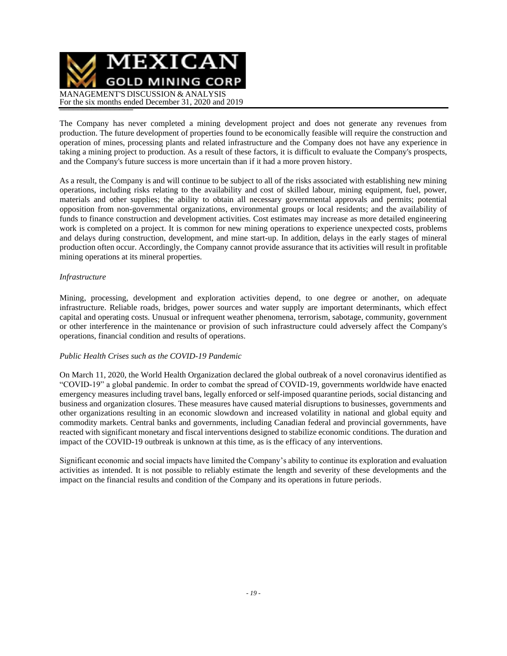

The Company has never completed a mining development project and does not generate any revenues from production. The future development of properties found to be economically feasible will require the construction and operation of mines, processing plants and related infrastructure and the Company does not have any experience in taking a mining project to production. As a result of these factors, it is difficult to evaluate the Company's prospects, and the Company's future success is more uncertain than if it had a more proven history.

As a result, the Company is and will continue to be subject to all of the risks associated with establishing new mining operations, including risks relating to the availability and cost of skilled labour, mining equipment, fuel, power, materials and other supplies; the ability to obtain all necessary governmental approvals and permits; potential opposition from non-governmental organizations, environmental groups or local residents; and the availability of funds to finance construction and development activities. Cost estimates may increase as more detailed engineering work is completed on a project. It is common for new mining operations to experience unexpected costs, problems and delays during construction, development, and mine start-up. In addition, delays in the early stages of mineral production often occur. Accordingly, the Company cannot provide assurance that its activities will result in profitable mining operations at its mineral properties.

#### *Infrastructure*

Mining, processing, development and exploration activities depend, to one degree or another, on adequate infrastructure. Reliable roads, bridges, power sources and water supply are important determinants, which effect capital and operating costs. Unusual or infrequent weather phenomena, terrorism, sabotage, community, government or other interference in the maintenance or provision of such infrastructure could adversely affect the Company's operations, financial condition and results of operations.

### *Public Health Crises such as the COVID-19 Pandemic*

On March 11, 2020, the World Health Organization declared the global outbreak of a novel coronavirus identified as "COVID-19" a global pandemic. In order to combat the spread of COVID-19, governments worldwide have enacted emergency measures including travel bans, legally enforced or self-imposed quarantine periods, social distancing and business and organization closures. These measures have caused material disruptions to businesses, governments and other organizations resulting in an economic slowdown and increased volatility in national and global equity and commodity markets. Central banks and governments, including Canadian federal and provincial governments, have reacted with significant monetary and fiscal interventions designed to stabilize economic conditions. The duration and impact of the COVID-19 outbreak is unknown at this time, as is the efficacy of any interventions.

Significant economic and social impacts have limited the Company's ability to continue its exploration and evaluation activities as intended. It is not possible to reliably estimate the length and severity of these developments and the impact on the financial results and condition of the Company and its operations in future periods.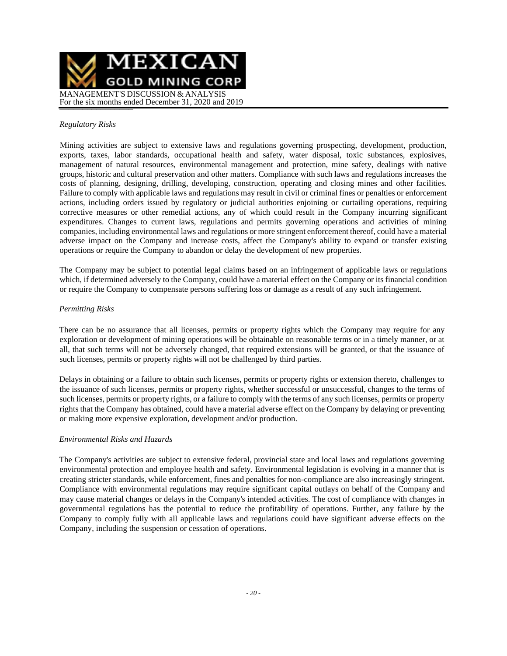

#### *Regulatory Risks*

Mining activities are subject to extensive laws and regulations governing prospecting, development, production, exports, taxes, labor standards, occupational health and safety, water disposal, toxic substances, explosives, management of natural resources, environmental management and protection, mine safety, dealings with native groups, historic and cultural preservation and other matters. Compliance with such laws and regulations increases the costs of planning, designing, drilling, developing, construction, operating and closing mines and other facilities. Failure to comply with applicable laws and regulations may result in civil or criminal fines or penalties or enforcement actions, including orders issued by regulatory or judicial authorities enjoining or curtailing operations, requiring corrective measures or other remedial actions, any of which could result in the Company incurring significant expenditures. Changes to current laws, regulations and permits governing operations and activities of mining companies, including environmental laws and regulations or more stringent enforcement thereof, could have a material adverse impact on the Company and increase costs, affect the Company's ability to expand or transfer existing operations or require the Company to abandon or delay the development of new properties.

The Company may be subject to potential legal claims based on an infringement of applicable laws or regulations which, if determined adversely to the Company, could have a material effect on the Company or its financial condition or require the Company to compensate persons suffering loss or damage as a result of any such infringement.

### *Permitting Risks*

There can be no assurance that all licenses, permits or property rights which the Company may require for any exploration or development of mining operations will be obtainable on reasonable terms or in a timely manner, or at all, that such terms will not be adversely changed, that required extensions will be granted, or that the issuance of such licenses, permits or property rights will not be challenged by third parties.

Delays in obtaining or a failure to obtain such licenses, permits or property rights or extension thereto, challenges to the issuance of such licenses, permits or property rights, whether successful or unsuccessful, changes to the terms of such licenses, permits or property rights, or a failure to comply with the terms of any such licenses, permits or property rights that the Company has obtained, could have a material adverse effect on the Company by delaying or preventing or making more expensive exploration, development and/or production.

#### *Environmental Risks and Hazards*

The Company's activities are subject to extensive federal, provincial state and local laws and regulations governing environmental protection and employee health and safety. Environmental legislation is evolving in a manner that is creating stricter standards, while enforcement, fines and penalties for non-compliance are also increasingly stringent. Compliance with environmental regulations may require significant capital outlays on behalf of the Company and may cause material changes or delays in the Company's intended activities. The cost of compliance with changes in governmental regulations has the potential to reduce the profitability of operations. Further, any failure by the Company to comply fully with all applicable laws and regulations could have significant adverse effects on the Company, including the suspension or cessation of operations.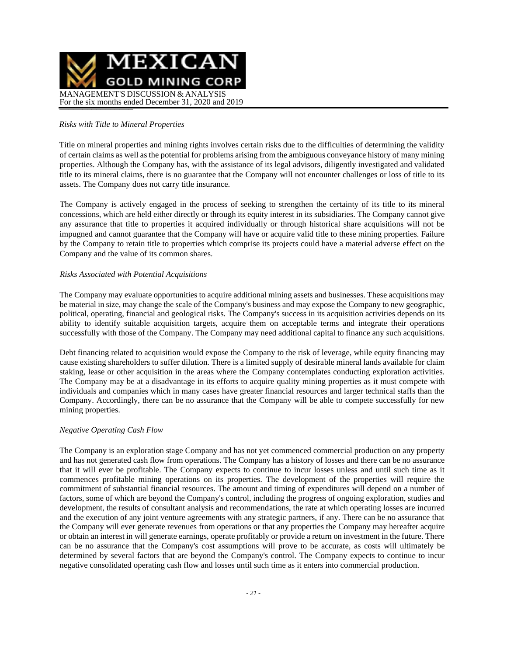

#### *Risks with Title to Mineral Properties*

Title on mineral properties and mining rights involves certain risks due to the difficulties of determining the validity of certain claims as well as the potential for problems arising from the ambiguous conveyance history of many mining properties. Although the Company has, with the assistance of its legal advisors, diligently investigated and validated title to its mineral claims, there is no guarantee that the Company will not encounter challenges or loss of title to its assets. The Company does not carry title insurance.

The Company is actively engaged in the process of seeking to strengthen the certainty of its title to its mineral concessions, which are held either directly or through its equity interest in its subsidiaries. The Company cannot give any assurance that title to properties it acquired individually or through historical share acquisitions will not be impugned and cannot guarantee that the Company will have or acquire valid title to these mining properties. Failure by the Company to retain title to properties which comprise its projects could have a material adverse effect on the Company and the value of its common shares.

#### *Risks Associated with Potential Acquisitions*

The Company may evaluate opportunities to acquire additional mining assets and businesses. These acquisitions may be material in size, may change the scale of the Company's business and may expose the Company to new geographic, political, operating, financial and geological risks. The Company's success in its acquisition activities depends on its ability to identify suitable acquisition targets, acquire them on acceptable terms and integrate their operations successfully with those of the Company. The Company may need additional capital to finance any such acquisitions.

Debt financing related to acquisition would expose the Company to the risk of leverage, while equity financing may cause existing shareholders to suffer dilution. There is a limited supply of desirable mineral lands available for claim staking, lease or other acquisition in the areas where the Company contemplates conducting exploration activities. The Company may be at a disadvantage in its efforts to acquire quality mining properties as it must compete with individuals and companies which in many cases have greater financial resources and larger technical staffs than the Company. Accordingly, there can be no assurance that the Company will be able to compete successfully for new mining properties.

#### *Negative Operating Cash Flow*

The Company is an exploration stage Company and has not yet commenced commercial production on any property and has not generated cash flow from operations. The Company has a history of losses and there can be no assurance that it will ever be profitable. The Company expects to continue to incur losses unless and until such time as it commences profitable mining operations on its properties. The development of the properties will require the commitment of substantial financial resources. The amount and timing of expenditures will depend on a number of factors, some of which are beyond the Company's control, including the progress of ongoing exploration, studies and development, the results of consultant analysis and recommendations, the rate at which operating losses are incurred and the execution of any joint venture agreements with any strategic partners, if any. There can be no assurance that the Company will ever generate revenues from operations or that any properties the Company may hereafter acquire or obtain an interest in will generate earnings, operate profitably or provide a return on investment in the future. There can be no assurance that the Company's cost assumptions will prove to be accurate, as costs will ultimately be determined by several factors that are beyond the Company's control. The Company expects to continue to incur negative consolidated operating cash flow and losses until such time as it enters into commercial production.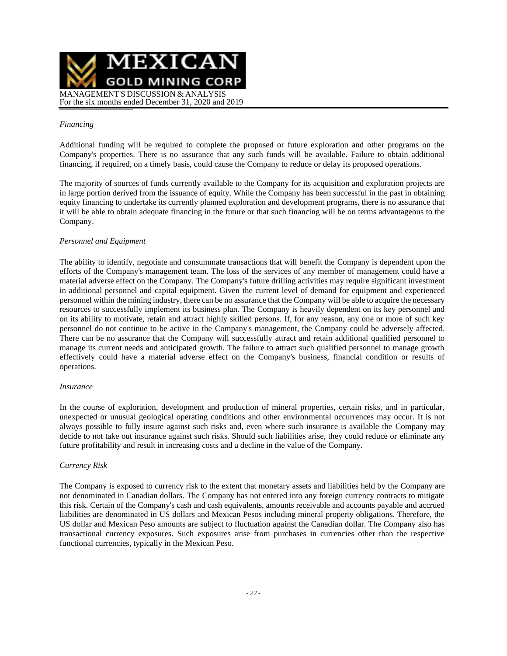

#### *Financing*

Additional funding will be required to complete the proposed or future exploration and other programs on the Company's properties. There is no assurance that any such funds will be available. Failure to obtain additional financing, if required, on a timely basis, could cause the Company to reduce or delay its proposed operations.

The majority of sources of funds currently available to the Company for its acquisition and exploration projects are in large portion derived from the issuance of equity. While the Company has been successful in the past in obtaining equity financing to undertake its currently planned exploration and development programs, there is no assurance that it will be able to obtain adequate financing in the future or that such financing will be on terms advantageous to the Company.

### *Personnel and Equipment*

The ability to identify, negotiate and consummate transactions that will benefit the Company is dependent upon the efforts of the Company's management team. The loss of the services of any member of management could have a material adverse effect on the Company. The Company's future drilling activities may require significant investment in additional personnel and capital equipment. Given the current level of demand for equipment and experienced personnel within the mining industry, there can be no assurance that the Company will be able to acquire the necessary resources to successfully implement its business plan. The Company is heavily dependent on its key personnel and on its ability to motivate, retain and attract highly skilled persons. If, for any reason, any one or more of such key personnel do not continue to be active in the Company's management, the Company could be adversely affected. There can be no assurance that the Company will successfully attract and retain additional qualified personnel to manage its current needs and anticipated growth. The failure to attract such qualified personnel to manage growth effectively could have a material adverse effect on the Company's business, financial condition or results of operations.

#### *Insurance*

In the course of exploration, development and production of mineral properties, certain risks, and in particular, unexpected or unusual geological operating conditions and other environmental occurrences may occur. It is not always possible to fully insure against such risks and, even where such insurance is available the Company may decide to not take out insurance against such risks. Should such liabilities arise, they could reduce or eliminate any future profitability and result in increasing costs and a decline in the value of the Company.

#### *Currency Risk*

The Company is exposed to currency risk to the extent that monetary assets and liabilities held by the Company are not denominated in Canadian dollars. The Company has not entered into any foreign currency contracts to mitigate this risk. Certain of the Company's cash and cash equivalents, amounts receivable and accounts payable and accrued liabilities are denominated in US dollars and Mexican Pesos including mineral property obligations. Therefore, the US dollar and Mexican Peso amounts are subject to fluctuation against the Canadian dollar. The Company also has transactional currency exposures. Such exposures arise from purchases in currencies other than the respective functional currencies, typically in the Mexican Peso.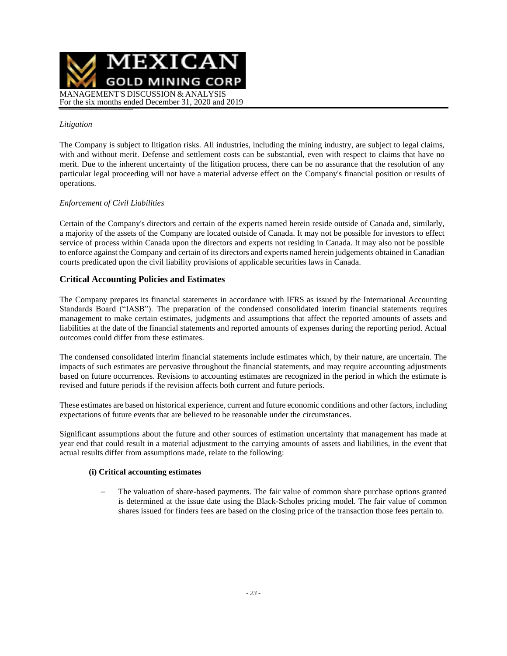

### *Litigation*

The Company is subject to litigation risks. All industries, including the mining industry, are subject to legal claims, with and without merit. Defense and settlement costs can be substantial, even with respect to claims that have no merit. Due to the inherent uncertainty of the litigation process, there can be no assurance that the resolution of any particular legal proceeding will not have a material adverse effect on the Company's financial position or results of operations.

### *Enforcement of Civil Liabilities*

Certain of the Company's directors and certain of the experts named herein reside outside of Canada and, similarly, a majority of the assets of the Company are located outside of Canada. It may not be possible for investors to effect service of process within Canada upon the directors and experts not residing in Canada. It may also not be possible to enforce against the Company and certain of its directors and experts named herein judgements obtained in Canadian courts predicated upon the civil liability provisions of applicable securities laws in Canada.

### **Critical Accounting Policies and Estimates**

The Company prepares its financial statements in accordance with IFRS as issued by the International Accounting Standards Board ("IASB"). The preparation of the condensed consolidated interim financial statements requires management to make certain estimates, judgments and assumptions that affect the reported amounts of assets and liabilities at the date of the financial statements and reported amounts of expenses during the reporting period. Actual outcomes could differ from these estimates.

The condensed consolidated interim financial statements include estimates which, by their nature, are uncertain. The impacts of such estimates are pervasive throughout the financial statements, and may require accounting adjustments based on future occurrences. Revisions to accounting estimates are recognized in the period in which the estimate is revised and future periods if the revision affects both current and future periods.

These estimates are based on historical experience, current and future economic conditions and other factors, including expectations of future events that are believed to be reasonable under the circumstances.

Significant assumptions about the future and other sources of estimation uncertainty that management has made at year end that could result in a material adjustment to the carrying amounts of assets and liabilities, in the event that actual results differ from assumptions made, relate to the following:

### **(i) Critical accounting estimates**

The valuation of share-based payments. The fair value of common share purchase options granted is determined at the issue date using the Black-Scholes pricing model. The fair value of common shares issued for finders fees are based on the closing price of the transaction those fees pertain to.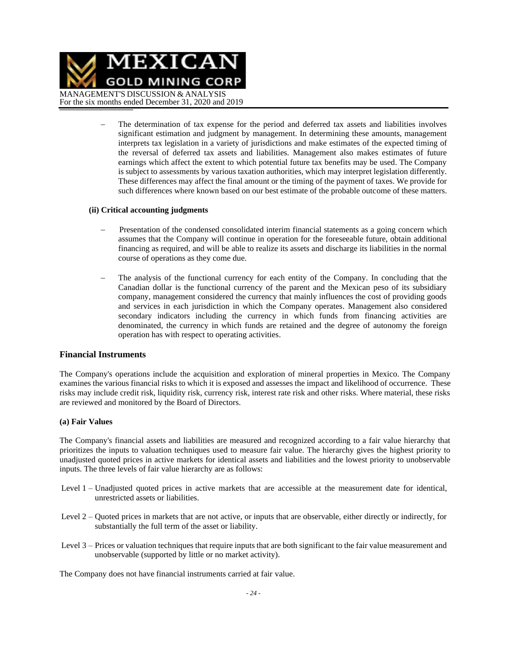

The determination of tax expense for the period and deferred tax assets and liabilities involves significant estimation and judgment by management. In determining these amounts, management interprets tax legislation in a variety of jurisdictions and make estimates of the expected timing of the reversal of deferred tax assets and liabilities. Management also makes estimates of future earnings which affect the extent to which potential future tax benefits may be used. The Company is subject to assessments by various taxation authorities, which may interpret legislation differently. These differences may affect the final amount or the timing of the payment of taxes. We provide for such differences where known based on our best estimate of the probable outcome of these matters.

#### **(ii) Critical accounting judgments**

- − Presentation of the condensed consolidated interim financial statements as a going concern which assumes that the Company will continue in operation for the foreseeable future, obtain additional financing as required, and will be able to realize its assets and discharge its liabilities in the normal course of operations as they come due.
- The analysis of the functional currency for each entity of the Company. In concluding that the Canadian dollar is the functional currency of the parent and the Mexican peso of its subsidiary company, management considered the currency that mainly influences the cost of providing goods and services in each jurisdiction in which the Company operates. Management also considered secondary indicators including the currency in which funds from financing activities are denominated, the currency in which funds are retained and the degree of autonomy the foreign operation has with respect to operating activities.

#### **Financial Instruments**

The Company's operations include the acquisition and exploration of mineral properties in Mexico. The Company examines the various financial risks to which it is exposed and assesses the impact and likelihood of occurrence. These risks may include credit risk, liquidity risk, currency risk, interest rate risk and other risks. Where material, these risks are reviewed and monitored by the Board of Directors.

#### **(a) Fair Values**

The Company's financial assets and liabilities are measured and recognized according to a fair value hierarchy that prioritizes the inputs to valuation techniques used to measure fair value. The hierarchy gives the highest priority to unadjusted quoted prices in active markets for identical assets and liabilities and the lowest priority to unobservable inputs. The three levels of fair value hierarchy are as follows:

- Level 1 Unadjusted quoted prices in active markets that are accessible at the measurement date for identical, unrestricted assets or liabilities.
- Level 2 Quoted prices in markets that are not active, or inputs that are observable, either directly or indirectly, for substantially the full term of the asset or liability.
- Level 3 Prices or valuation techniques that require inputs that are both significant to the fair value measurement and unobservable (supported by little or no market activity).

The Company does not have financial instruments carried at fair value.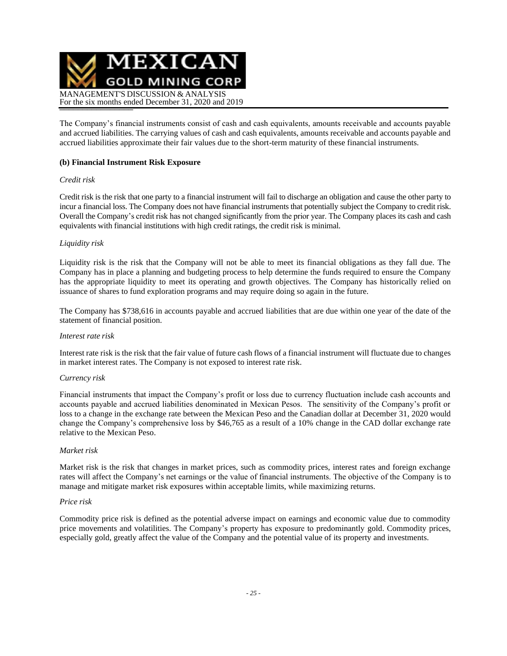

The Company's financial instruments consist of cash and cash equivalents, amounts receivable and accounts payable and accrued liabilities. The carrying values of cash and cash equivalents, amounts receivable and accounts payable and accrued liabilities approximate their fair values due to the short-term maturity of these financial instruments.

### **(b) Financial Instrument Risk Exposure**

### *Credit risk*

Credit risk is the risk that one party to a financial instrument will fail to discharge an obligation and cause the other party to incur a financial loss. The Company does not have financial instruments that potentially subject the Company to credit risk. Overall the Company's credit risk has not changed significantly from the prior year. The Company places its cash and cash equivalents with financial institutions with high credit ratings, the credit risk is minimal.

### *Liquidity risk*

Liquidity risk is the risk that the Company will not be able to meet its financial obligations as they fall due. The Company has in place a planning and budgeting process to help determine the funds required to ensure the Company has the appropriate liquidity to meet its operating and growth objectives. The Company has historically relied on issuance of shares to fund exploration programs and may require doing so again in the future.

The Company has \$738,616 in accounts payable and accrued liabilities that are due within one year of the date of the statement of financial position.

#### *Interest rate risk*

Interest rate risk is the risk that the fair value of future cash flows of a financial instrument will fluctuate due to changes in market interest rates. The Company is not exposed to interest rate risk.

#### *Currency risk*

Financial instruments that impact the Company's profit or loss due to currency fluctuation include cash accounts and accounts payable and accrued liabilities denominated in Mexican Pesos. The sensitivity of the Company's profit or loss to a change in the exchange rate between the Mexican Peso and the Canadian dollar at December 31, 2020 would change the Company's comprehensive loss by \$46,765 as a result of a 10% change in the CAD dollar exchange rate relative to the Mexican Peso.

#### *Market risk*

Market risk is the risk that changes in market prices, such as commodity prices, interest rates and foreign exchange rates will affect the Company's net earnings or the value of financial instruments. The objective of the Company is to manage and mitigate market risk exposures within acceptable limits, while maximizing returns.

#### *Price risk*

Commodity price risk is defined as the potential adverse impact on earnings and economic value due to commodity price movements and volatilities. The Company's property has exposure to predominantly gold. Commodity prices, especially gold, greatly affect the value of the Company and the potential value of its property and investments.